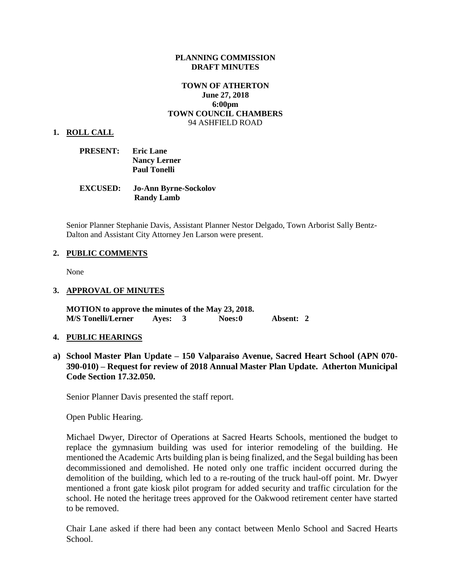### **PLANNING COMMISSION DRAFT MINUTES**

## **TOWN OF ATHERTON June 27, 2018 6:00pm TOWN COUNCIL CHAMBERS** 94 ASHFIELD ROAD

#### **1. ROLL CALL**

| <b>PRESENT:</b> | <b>Eric Lane</b>    |
|-----------------|---------------------|
|                 | <b>Nancy Lerner</b> |
|                 | <b>Paul Tonelli</b> |

| <b>EXCUSED:</b> | <b>Jo-Ann Byrne-Sockolov</b> |
|-----------------|------------------------------|
|                 | <b>Randy Lamb</b>            |

Senior Planner Stephanie Davis, Assistant Planner Nestor Delgado, Town Arborist Sally Bentz-Dalton and Assistant City Attorney Jen Larson were present.

### **2. PUBLIC COMMENTS**

None

### **3. APPROVAL OF MINUTES**

**MOTION to approve the minutes of the May 23, 2018. M/S Tonelli/Lerner Ayes: 3 Noes:0 Absent: 2** 

### **4. PUBLIC HEARINGS**

**a) School Master Plan Update – 150 Valparaiso Avenue, Sacred Heart School (APN 070- 390-010) – Request for review of 2018 Annual Master Plan Update. Atherton Municipal Code Section 17.32.050.** 

Senior Planner Davis presented the staff report.

Open Public Hearing.

Michael Dwyer, Director of Operations at Sacred Hearts Schools, mentioned the budget to replace the gymnasium building was used for interior remodeling of the building. He mentioned the Academic Arts building plan is being finalized, and the Segal building has been decommissioned and demolished. He noted only one traffic incident occurred during the demolition of the building, which led to a re-routing of the truck haul-off point. Mr. Dwyer mentioned a front gate kiosk pilot program for added security and traffic circulation for the school. He noted the heritage trees approved for the Oakwood retirement center have started to be removed.

Chair Lane asked if there had been any contact between Menlo School and Sacred Hearts School.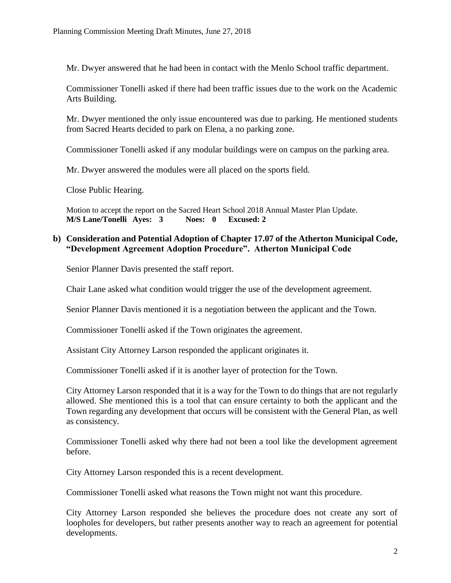Mr. Dwyer answered that he had been in contact with the Menlo School traffic department.

Commissioner Tonelli asked if there had been traffic issues due to the work on the Academic Arts Building.

Mr. Dwyer mentioned the only issue encountered was due to parking. He mentioned students from Sacred Hearts decided to park on Elena, a no parking zone.

Commissioner Tonelli asked if any modular buildings were on campus on the parking area.

Mr. Dwyer answered the modules were all placed on the sports field.

Close Public Hearing.

Motion to accept the report on the Sacred Heart School 2018 Annual Master Plan Update. **M/S Lane/Tonelli Ayes: 3 Noes: 0 Excused: 2**

# **b) Consideration and Potential Adoption of Chapter 17.07 of the Atherton Municipal Code, "Development Agreement Adoption Procedure". Atherton Municipal Code**

Senior Planner Davis presented the staff report.

Chair Lane asked what condition would trigger the use of the development agreement.

Senior Planner Davis mentioned it is a negotiation between the applicant and the Town.

Commissioner Tonelli asked if the Town originates the agreement.

Assistant City Attorney Larson responded the applicant originates it.

Commissioner Tonelli asked if it is another layer of protection for the Town.

City Attorney Larson responded that it is a way for the Town to do things that are not regularly allowed. She mentioned this is a tool that can ensure certainty to both the applicant and the Town regarding any development that occurs will be consistent with the General Plan, as well as consistency.

Commissioner Tonelli asked why there had not been a tool like the development agreement before.

City Attorney Larson responded this is a recent development.

Commissioner Tonelli asked what reasons the Town might not want this procedure.

City Attorney Larson responded she believes the procedure does not create any sort of loopholes for developers, but rather presents another way to reach an agreement for potential developments.